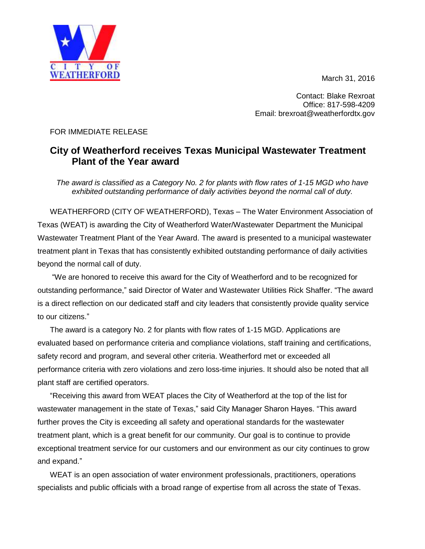March 31, 2016



Contact: Blake Rexroat Office: 817-598-4209 Email: brexroat@weatherfordtx.gov

## FOR IMMEDIATE RELEASE

## **City of Weatherford receives Texas Municipal Wastewater Treatment Plant of the Year award**

*The award is classified as a Category No. 2 for plants with flow rates of 1-15 MGD who have exhibited outstanding performance of daily activities beyond the normal call of duty.*

WEATHERFORD (CITY OF WEATHERFORD), Texas – The Water Environment Association of Texas (WEAT) is awarding the City of Weatherford Water/Wastewater Department the Municipal Wastewater Treatment Plant of the Year Award. The award is presented to a municipal wastewater treatment plant in Texas that has consistently exhibited outstanding performance of daily activities beyond the normal call of duty.

"We are honored to receive this award for the City of Weatherford and to be recognized for outstanding performance," said Director of Water and Wastewater Utilities Rick Shaffer. "The award is a direct reflection on our dedicated staff and city leaders that consistently provide quality service to our citizens."

The award is a category No. 2 for plants with flow rates of 1-15 MGD. Applications are evaluated based on performance criteria and compliance violations, staff training and certifications, safety record and program, and several other criteria. Weatherford met or exceeded all performance criteria with zero violations and zero loss-time injuries. It should also be noted that all plant staff are certified operators.

"Receiving this award from WEAT places the City of Weatherford at the top of the list for wastewater management in the state of Texas," said City Manager Sharon Hayes. "This award further proves the City is exceeding all safety and operational standards for the wastewater treatment plant, which is a great benefit for our community. Our goal is to continue to provide exceptional treatment service for our customers and our environment as our city continues to grow and expand."

WEAT is an open association of water environment professionals, practitioners, operations specialists and public officials with a broad range of expertise from all across the state of Texas.